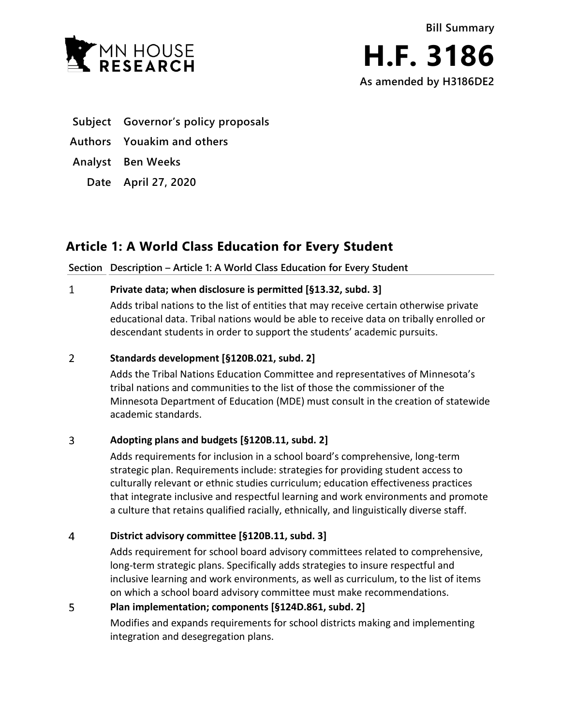



- **Subject Governor's policy proposals**
- **Authors Youakim and others**
- **Analyst Ben Weeks**
	- **Date April 27, 2020**

# **Article 1: A World Class Education for Every Student**

## **Section Description – Article 1: A World Class Education for Every Student**

#### $\mathbf{1}$ **Private data; when disclosure is permitted [§13.32, subd. 3]**

Adds tribal nations to the list of entities that may receive certain otherwise private educational data. Tribal nations would be able to receive data on tribally enrolled or descendant students in order to support the students' academic pursuits.

#### $\overline{2}$ **Standards development [§120B.021, subd. 2]**

Adds the Tribal Nations Education Committee and representatives of Minnesota's tribal nations and communities to the list of those the commissioner of the Minnesota Department of Education (MDE) must consult in the creation of statewide academic standards.

#### $\overline{3}$ **Adopting plans and budgets [§120B.11, subd. 2]**

Adds requirements for inclusion in a school board's comprehensive, long-term strategic plan. Requirements include: strategies for providing student access to culturally relevant or ethnic studies curriculum; education effectiveness practices that integrate inclusive and respectful learning and work environments and promote a culture that retains qualified racially, ethnically, and linguistically diverse staff.

#### $\overline{4}$ **District advisory committee [§120B.11, subd. 3]**

Adds requirement for school board advisory committees related to comprehensive, long-term strategic plans. Specifically adds strategies to insure respectful and inclusive learning and work environments, as well as curriculum, to the list of items on which a school board advisory committee must make recommendations.

#### 5 **Plan implementation; components [§124D.861, subd. 2]**

Modifies and expands requirements for school districts making and implementing integration and desegregation plans.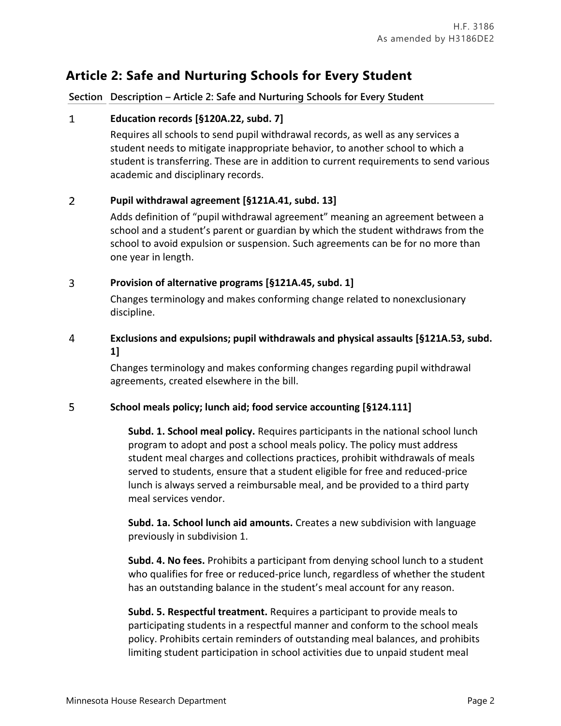# **Article 2: Safe and Nurturing Schools for Every Student**

## **Section Description – Article 2: Safe and Nurturing Schools for Every Student**

#### $\mathbf{1}$ **Education records [§120A.22, subd. 7]**

Requires all schools to send pupil withdrawal records, as well as any services a student needs to mitigate inappropriate behavior, to another school to which a student is transferring. These are in addition to current requirements to send various academic and disciplinary records.

#### $\overline{2}$ **Pupil withdrawal agreement [§121A.41, subd. 13]**

Adds definition of "pupil withdrawal agreement" meaning an agreement between a school and a student's parent or guardian by which the student withdraws from the school to avoid expulsion or suspension. Such agreements can be for no more than one year in length.

#### $\overline{3}$ **Provision of alternative programs [§121A.45, subd. 1]**

Changes terminology and makes conforming change related to nonexclusionary discipline.

### 4 **Exclusions and expulsions; pupil withdrawals and physical assaults [§121A.53, subd. 1]**

Changes terminology and makes conforming changes regarding pupil withdrawal agreements, created elsewhere in the bill.

#### 5 **School meals policy; lunch aid; food service accounting [§124.111]**

**Subd. 1. School meal policy.** Requires participants in the national school lunch program to adopt and post a school meals policy. The policy must address student meal charges and collections practices, prohibit withdrawals of meals served to students, ensure that a student eligible for free and reduced-price lunch is always served a reimbursable meal, and be provided to a third party meal services vendor.

**Subd. 1a. School lunch aid amounts.** Creates a new subdivision with language previously in subdivision 1.

**Subd. 4. No fees.** Prohibits a participant from denying school lunch to a student who qualifies for free or reduced-price lunch, regardless of whether the student has an outstanding balance in the student's meal account for any reason.

**Subd. 5. Respectful treatment.** Requires a participant to provide meals to participating students in a respectful manner and conform to the school meals policy. Prohibits certain reminders of outstanding meal balances, and prohibits limiting student participation in school activities due to unpaid student meal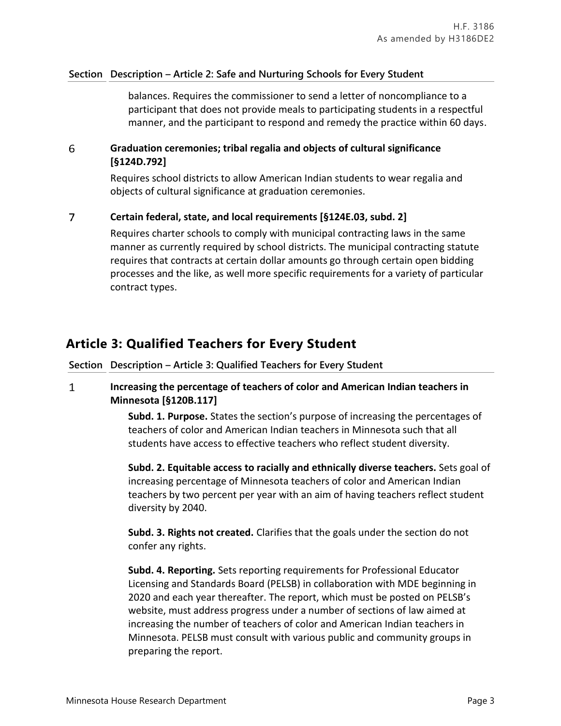## **Section Description – Article 2: Safe and Nurturing Schools for Every Student**

balances. Requires the commissioner to send a letter of noncompliance to a participant that does not provide meals to participating students in a respectful manner, and the participant to respond and remedy the practice within 60 days.

### 6 **Graduation ceremonies; tribal regalia and objects of cultural significance [§124D.792]**

Requires school districts to allow American Indian students to wear regalia and objects of cultural significance at graduation ceremonies.

#### $\overline{7}$ **Certain federal, state, and local requirements [§124E.03, subd. 2]**

Requires charter schools to comply with municipal contracting laws in the same manner as currently required by school districts. The municipal contracting statute requires that contracts at certain dollar amounts go through certain open bidding processes and the like, as well more specific requirements for a variety of particular contract types.

# **Article 3: Qualified Teachers for Every Student**

**Section Description – Article 3: Qualified Teachers for Every Student**

### $\mathbf{1}$ **Increasing the percentage of teachers of color and American Indian teachers in Minnesota [§120B.117]**

**Subd. 1. Purpose.** States the section's purpose of increasing the percentages of teachers of color and American Indian teachers in Minnesota such that all students have access to effective teachers who reflect student diversity.

**Subd. 2. Equitable access to racially and ethnically diverse teachers.** Sets goal of increasing percentage of Minnesota teachers of color and American Indian teachers by two percent per year with an aim of having teachers reflect student diversity by 2040.

**Subd. 3. Rights not created.** Clarifies that the goals under the section do not confer any rights.

**Subd. 4. Reporting.** Sets reporting requirements for Professional Educator Licensing and Standards Board (PELSB) in collaboration with MDE beginning in 2020 and each year thereafter. The report, which must be posted on PELSB's website, must address progress under a number of sections of law aimed at increasing the number of teachers of color and American Indian teachers in Minnesota. PELSB must consult with various public and community groups in preparing the report.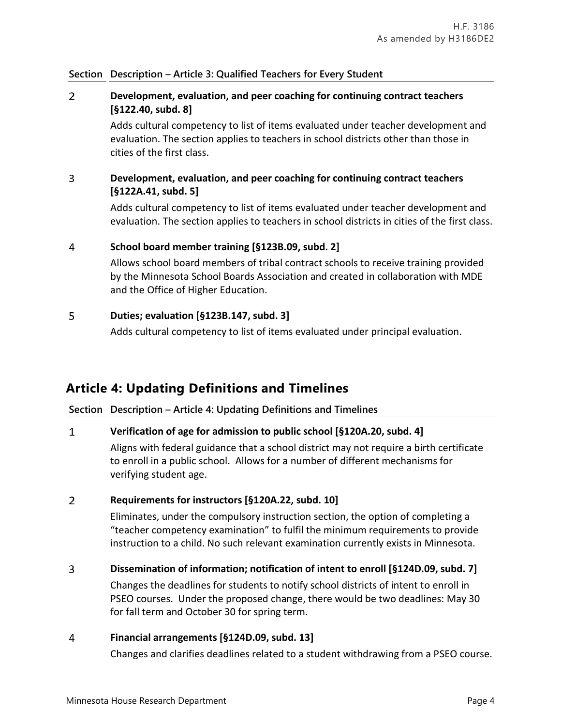## **Section Description – Article 3: Qualified Teachers for Every Student**

### $\overline{2}$ **Development, evaluation, and peer coaching for continuing contract teachers [§122.40, subd. 8]**

Adds cultural competency to list of items evaluated under teacher development and evaluation. The section applies to teachers in school districts other than those in cities of the first class.

### $\overline{3}$ **Development, evaluation, and peer coaching for continuing contract teachers [§122A.41, subd. 5]**

Adds cultural competency to list of items evaluated under teacher development and evaluation. The section applies to teachers in school districts in cities of the first class.

#### $\overline{4}$ **School board member training [§123B.09, subd. 2]**

Allows school board members of tribal contract schools to receive training provided by the Minnesota School Boards Association and created in collaboration with MDE and the Office of Higher Education.

#### 5 **Duties; evaluation [§123B.147, subd. 3]**

Adds cultural competency to list of items evaluated under principal evaluation.

# **Article 4: Updating Definitions and Timelines**

## **Section Description – Article 4: Updating Definitions and Timelines**

#### $\mathbf{1}$ **Verification of age for admission to public school [§120A.20, subd. 4]**

Aligns with federal guidance that a school district may not require a birth certificate to enroll in a public school. Allows for a number of different mechanisms for verifying student age.

#### $\overline{2}$ **Requirements for instructors [§120A.22, subd. 10]**

Eliminates, under the compulsory instruction section, the option of completing a "teacher competency examination" to fulfil the minimum requirements to provide instruction to a child. No such relevant examination currently exists in Minnesota.

#### 3 **Dissemination of information; notification of intent to enroll [§124D.09, subd. 7]**

Changes the deadlines for students to notify school districts of intent to enroll in PSEO courses. Under the proposed change, there would be two deadlines: May 30 for fall term and October 30 for spring term.

#### 4 **Financial arrangements [§124D.09, subd. 13]**

Changes and clarifies deadlines related to a student withdrawing from a PSEO course.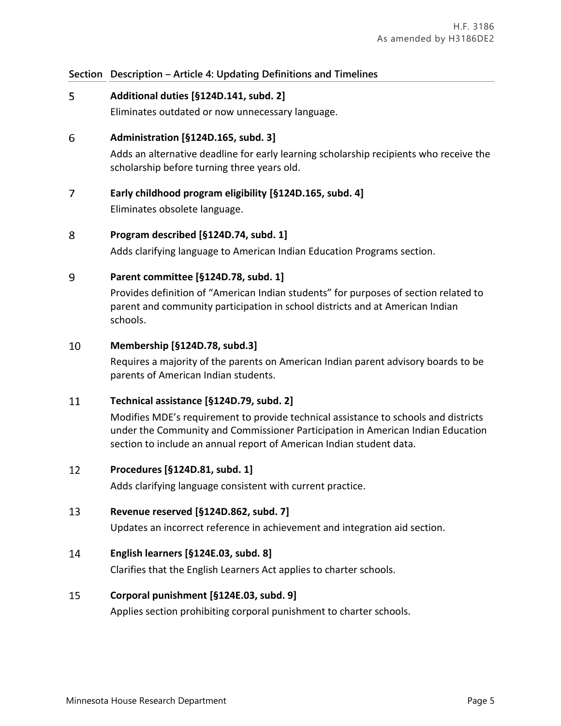## **Section Description – Article 4: Updating Definitions and Timelines**

#### 5 **Additional duties [§124D.141, subd. 2]**

Eliminates outdated or now unnecessary language.

#### 6 **Administration [§124D.165, subd. 3]**

Adds an alternative deadline for early learning scholarship recipients who receive the scholarship before turning three years old.

#### $\overline{7}$ **Early childhood program eligibility [§124D.165, subd. 4]**

Eliminates obsolete language.

#### 8 **Program described [§124D.74, subd. 1]**

Adds clarifying language to American Indian Education Programs section.

#### 9 **Parent committee [§124D.78, subd. 1]**

Provides definition of "American Indian students" for purposes of section related to parent and community participation in school districts and at American Indian schools.

#### 10 **Membership [§124D.78, subd.3]**

Requires a majority of the parents on American Indian parent advisory boards to be parents of American Indian students.

#### 11 **Technical assistance [§124D.79, subd. 2]**

Modifies MDE's requirement to provide technical assistance to schools and districts under the Community and Commissioner Participation in American Indian Education section to include an annual report of American Indian student data.

#### 12 **Procedures [§124D.81, subd. 1]**

Adds clarifying language consistent with current practice.

#### 13 **Revenue reserved [§124D.862, subd. 7]**

Updates an incorrect reference in achievement and integration aid section.

#### 14 **English learners [§124E.03, subd. 8]**

Clarifies that the English Learners Act applies to charter schools.

#### 15 **Corporal punishment [§124E.03, subd. 9]**

Applies section prohibiting corporal punishment to charter schools.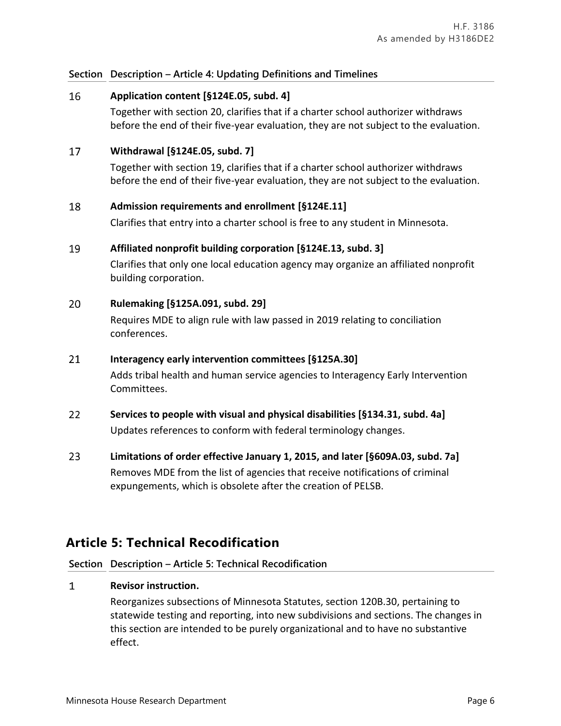## **Section Description – Article 4: Updating Definitions and Timelines**

#### 16 **Application content [§124E.05, subd. 4]**

Together with section 20, clarifies that if a charter school authorizer withdraws before the end of their five-year evaluation, they are not subject to the evaluation.

#### 17 **Withdrawal [§124E.05, subd. 7]**

Together with section 19, clarifies that if a charter school authorizer withdraws before the end of their five-year evaluation, they are not subject to the evaluation.

#### 18 **Admission requirements and enrollment [§124E.11]**

Clarifies that entry into a charter school is free to any student in Minnesota.

#### 19 **Affiliated nonprofit building corporation [§124E.13, subd. 3]**

Clarifies that only one local education agency may organize an affiliated nonprofit building corporation.

#### 20 **Rulemaking [§125A.091, subd. 29]**

Requires MDE to align rule with law passed in 2019 relating to conciliation conferences.

#### 21 **Interagency early intervention committees [§125A.30]**

Adds tribal health and human service agencies to Interagency Early Intervention Committees.

- 22 **Services to people with visual and physical disabilities [§134.31, subd. 4a]** Updates references to conform with federal terminology changes.
- 23 **Limitations of order effective January 1, 2015, and later [§609A.03, subd. 7a]** Removes MDE from the list of agencies that receive notifications of criminal expungements, which is obsolete after the creation of PELSB.

# **Article 5: Technical Recodification**

### **Section Description – Article 5: Technical Recodification**

#### $\mathbf{1}$ **Revisor instruction.**

Reorganizes subsections of Minnesota Statutes, section 120B.30, pertaining to statewide testing and reporting, into new subdivisions and sections. The changes in this section are intended to be purely organizational and to have no substantive effect.